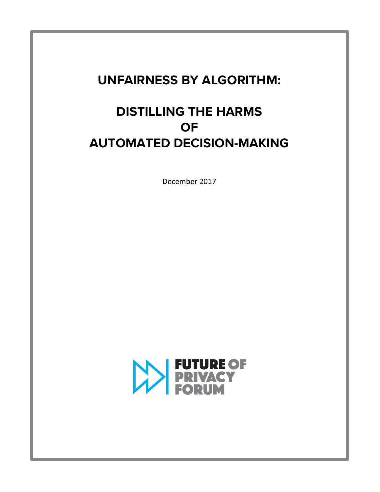# **UNFAIRNESS BY ALGORITHM:**

# **DISTILLING THE HARMS OF AUTOMATED DECISION-MAKING**

December 2017

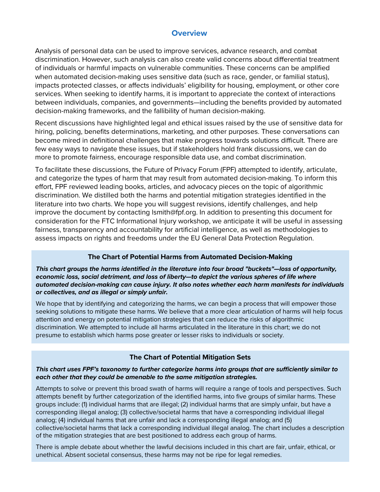### **Overview**

Analysis of personal data can be used to improve services, advance research, and combat discrimination. However, such analysis can also create valid concerns about differential treatment of individuals or harmful impacts on vulnerable communities. These concerns can be amplified when automated decision-making uses sensitive data (such as race, gender, or familial status), impacts protected classes, or affects individuals' eligibility for housing, employment, or other core services. When seeking to identify harms, it is important to appreciate the context of interactions between individuals, companies, and governments—including the benefits provided by automated decision-making frameworks, and the fallibility of human decision-making.

Recent discussions have highlighted legal and ethical issues raised by the use of sensitive data for hiring, policing, benefits determinations, marketing, and other purposes. These conversations can become mired in definitional challenges that make progress towards solutions difficult. There are few easy ways to navigate these issues, but if stakeholders hold frank discussions, we can do more to promote fairness, encourage responsible data use, and combat discrimination.

To facilitate these discussions, the Future of Privacy Forum (FPF) attempted to identify, articulate, and categorize the types of harm that may result from automated decision-making. To inform this effort, FPF reviewed leading books, articles, and advocacy pieces on the topic of algorithmic discrimination. We distilled both the harms and potential mitigation strategies identified in the literature into two charts. We hope you will suggest revisions, identify challenges, and help improve the document by contacting lsmith@fpf.org. In addition to presenting this document for consideration for the FTC Informational Injury workshop, we anticipate it will be useful in assessing fairness, transparency and accountability for artificial intelligence, as well as methodologies to assess impacts on rights and freedoms under the EU General Data Protection Regulation.

#### **The Chart of Potential Harms from Automated Decision-Making**

*This chart groups the harms identified in the literature into four broad "buckets"—loss of opportunity, economic loss, social detriment, and loss of liberty—to depict the various spheres of life where automated decision-making can cause injury. It also notes whether each harm manifests for individuals or collectives, and as illegal or simply unfair.*

We hope that by identifying and categorizing the harms, we can begin a process that will empower those seeking solutions to mitigate these harms. We believe that a more clear articulation of harms will help focus attention and energy on potential mitigation strategies that can reduce the risks of algorithmic discrimination. We attempted to include all harms articulated in the literature in this chart; we do not presume to establish which harms pose greater or lesser risks to individuals or society.

#### **The Chart of Potential Mitigation Sets**

#### *This chart uses FPF's taxonomy to further categorize harms into groups that are sufficiently similar to each other that they could be amenable to the same mitigation strategies.*

Attempts to solve or prevent this broad swath of harms will require a range of tools and perspectives. Such attempts benefit by further categorization of the identified harms, into five groups of similar harms. These groups include: (1) individual harms that are illegal; (2) individual harms that are simply unfair, but have a corresponding illegal analog; (3) collective/societal harms that have a corresponding individual illegal analog; (4) individual harms that are unfair and lack a corresponding illegal analog; and (5) collective/societal harms that lack a corresponding individual illegal analog. The chart includes a description of the mitigation strategies that are best positioned to address each group of harms.

There is ample debate about whether the lawful decisions included in this chart are fair, unfair, ethical, or unethical. Absent societal consensus, these harms may not be ripe for legal remedies.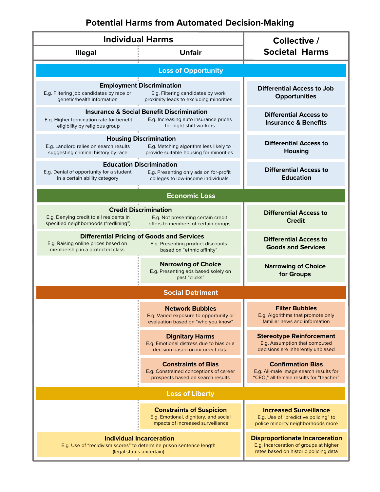# **Potential Harms from Automated Decision-Making**

| <b>Individual Harms</b>                                                                                                                                                                                |                                                                                                                      | Collective /                                                                                                             |  |
|--------------------------------------------------------------------------------------------------------------------------------------------------------------------------------------------------------|----------------------------------------------------------------------------------------------------------------------|--------------------------------------------------------------------------------------------------------------------------|--|
| <b>Illegal</b>                                                                                                                                                                                         | <b>Unfair</b>                                                                                                        | <b>Societal Harms</b>                                                                                                    |  |
| <b>Loss of Opportunity</b>                                                                                                                                                                             |                                                                                                                      |                                                                                                                          |  |
| E.g. Filtering job candidates by race or<br>genetic/health information                                                                                                                                 | <b>Employment Discrimination</b><br>E.g. Filtering candidates by work<br>proximity leads to excluding minorities     | <b>Differential Access to Job</b><br><b>Opportunities</b>                                                                |  |
| <b>Insurance &amp; Social Benefit Discrimination</b><br>E.g. Increasing auto insurance prices<br>E.g. Higher termination rate for benefit<br>eligibility by religious group<br>for night-shift workers |                                                                                                                      | <b>Differential Access to</b><br><b>Insurance &amp; Benefits</b>                                                         |  |
| E.g. Landlord relies on search results<br>suggesting criminal history by race                                                                                                                          | <b>Housing Discrimination</b><br>E.g. Matching algorithm less likely to<br>provide suitable housing for minorities   | <b>Differential Access to</b><br><b>Housing</b>                                                                          |  |
| E.g. Denial of opportunity for a student<br>in a certain ability category                                                                                                                              | <b>Education Discrimination</b><br>E.g. Presenting only ads on for-profit<br>colleges to low-income individuals      | <b>Differential Access to</b><br><b>Education</b>                                                                        |  |
| <b>Economic Loss</b>                                                                                                                                                                                   |                                                                                                                      |                                                                                                                          |  |
| E.g. Denying credit to all residents in<br>specified neighborhoods ("redlining")                                                                                                                       | <b>Credit Discrimination</b><br>E.g. Not presenting certain credit<br>offers to members of certain groups            | <b>Differential Access to</b><br><b>Credit</b>                                                                           |  |
| E.g. Raising online prices based on<br>membership in a protected class                                                                                                                                 | <b>Differential Pricing of Goods and Services</b><br>E.g. Presenting product discounts<br>based on "ethnic affinity" | <b>Differential Access to</b><br><b>Goods and Services</b>                                                               |  |
|                                                                                                                                                                                                        | <b>Narrowing of Choice</b><br>E.g. Presenting ads based solely on<br>past "clicks"                                   | <b>Narrowing of Choice</b><br>for Groups                                                                                 |  |
| <b>Social Detriment</b>                                                                                                                                                                                |                                                                                                                      |                                                                                                                          |  |
|                                                                                                                                                                                                        | <b>Network Bubbles</b><br>E.g. Varied exposure to opportunity or<br>evaluation based on "who you know"               | <b>Filter Bubbles</b><br>E.g. Algorithms that promote only<br>familiar news and information                              |  |
|                                                                                                                                                                                                        | <b>Dignitary Harms</b><br>E.g. Emotional distress due to bias or a<br>decision based on incorrect data               | <b>Stereotype Reinforcement</b><br>E.g. Assumption that computed<br>decisions are inherently unbiased                    |  |
|                                                                                                                                                                                                        | <b>Constraints of Bias</b><br>E.g. Constrained conceptions of career<br>prospects based on search results            | <b>Confirmation Bias</b><br>E.g. All-male image search results for<br>"CEO," all-female results for "teacher"            |  |
| <b>Loss of Liberty</b>                                                                                                                                                                                 |                                                                                                                      |                                                                                                                          |  |
|                                                                                                                                                                                                        | <b>Constraints of Suspicion</b><br>E.g. Emotional, dignitary, and social<br>impacts of increased surveillance        | <b>Increased Surveillance</b><br>E.g. Use of "predictive policing" to<br>police minority neighborhoods more              |  |
| <b>Individual Incarceration</b><br>E.g. Use of "recidivism scores" to determine prison sentence length<br>(legal status uncertain)                                                                     |                                                                                                                      | <b>Disproportionate Incarceration</b><br>E.g. Incarceration of groups at higher<br>rates based on historic policing data |  |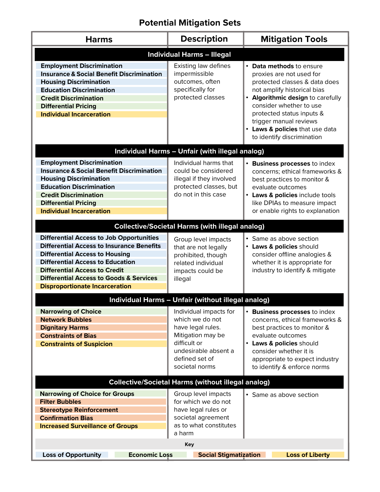# **Potential Mitigation Sets**

| <b>Harms</b>                                                                                                                                                                                                                                                                                                                   | <b>Description</b>                                                                                                                                              | <b>Mitigation Tools</b>                                                                                                                                                                                                                                                                                      |  |
|--------------------------------------------------------------------------------------------------------------------------------------------------------------------------------------------------------------------------------------------------------------------------------------------------------------------------------|-----------------------------------------------------------------------------------------------------------------------------------------------------------------|--------------------------------------------------------------------------------------------------------------------------------------------------------------------------------------------------------------------------------------------------------------------------------------------------------------|--|
| <b>Individual Harms - Illegal</b>                                                                                                                                                                                                                                                                                              |                                                                                                                                                                 |                                                                                                                                                                                                                                                                                                              |  |
| <b>Employment Discrimination</b><br><b>Insurance &amp; Social Benefit Discrimination</b><br><b>Housing Discrimination</b><br><b>Education Discrimination</b><br><b>Credit Discrimination</b><br><b>Differential Pricing</b><br><b>Individual Incarceration</b>                                                                 | Existing law defines<br>impermissible<br>outcomes, often<br>specifically for<br>protected classes                                                               | • Data methods to ensure<br>proxies are not used for<br>protected classes & data does<br>not amplify historical bias<br>• Algorithmic design to carefully<br>consider whether to use<br>protected status inputs &<br>trigger manual reviews<br>• Laws & policies that use data<br>to identify discrimination |  |
| <b>Individual Harms - Unfair (with illegal analog)</b>                                                                                                                                                                                                                                                                         |                                                                                                                                                                 |                                                                                                                                                                                                                                                                                                              |  |
| <b>Employment Discrimination</b><br><b>Insurance &amp; Social Benefit Discrimination</b><br><b>Housing Discrimination</b><br><b>Education Discrimination</b><br><b>Credit Discrimination</b><br><b>Differential Pricing</b><br><b>Individual Incarceration</b>                                                                 | Individual harms that<br>could be considered<br>illegal if they involved<br>protected classes, but<br>do not in this case                                       | • Business processes to index<br>concerns; ethical frameworks &<br>best practices to monitor &<br>evaluate outcomes<br>• Laws & policies include tools<br>like DPIAs to measure impact<br>or enable rights to explanation                                                                                    |  |
| <b>Collective/Societal Harms (with illegal analog)</b>                                                                                                                                                                                                                                                                         |                                                                                                                                                                 |                                                                                                                                                                                                                                                                                                              |  |
| <b>Differential Access to Job Opportunities</b><br><b>Differential Access to Insurance Benefits</b><br><b>Differential Access to Housing</b><br><b>Differential Access to Education</b><br><b>Differential Access to Credit</b><br><b>Differential Access to Goods &amp; Services</b><br><b>Disproportionate Incarceration</b> | Group level impacts<br>that are not legally<br>prohibited, though<br>related individual<br>impacts could be<br>illegal                                          | • Same as above section<br>• Laws & policies should<br>consider offline analogies &<br>whether it is appropriate for<br>industry to identify & mitigate                                                                                                                                                      |  |
| Individual Harms - Unfair (without illegal analog)                                                                                                                                                                                                                                                                             |                                                                                                                                                                 |                                                                                                                                                                                                                                                                                                              |  |
| <b>Narrowing of Choice</b><br><b>Network Bubbles</b><br><b>Dignitary Harms</b><br><b>Constraints of Bias</b><br><b>Constraints of Suspicion</b>                                                                                                                                                                                | Individual impacts for<br>which we do not<br>have legal rules.<br>Mitigation may be<br>difficult or<br>undesirable absent a<br>defined set of<br>societal norms | • Business processes to index<br>concerns, ethical frameworks &<br>best practices to monitor &<br>evaluate outcomes<br>• Laws & policies should<br>consider whether it is<br>appropriate to expect industry<br>to identify & enforce norms                                                                   |  |
| <b>Collective/Societal Harms (without illegal analog)</b>                                                                                                                                                                                                                                                                      |                                                                                                                                                                 |                                                                                                                                                                                                                                                                                                              |  |
| <b>Narrowing of Choice for Groups</b><br><b>Filter Bubbles</b><br><b>Stereotype Reinforcement</b><br><b>Confirmation Bias</b><br><b>Increased Surveillance of Groups</b>                                                                                                                                                       | Group level impacts<br>for which we do not<br>have legal rules or<br>societal agreement<br>as to what constitutes<br>a harm                                     | • Same as above section                                                                                                                                                                                                                                                                                      |  |
| <b>Key</b><br><b>Loss of Opportunity</b><br><b>Economic Loss</b><br><b>Social Stigmatization</b><br><b>Loss of Liberty</b>                                                                                                                                                                                                     |                                                                                                                                                                 |                                                                                                                                                                                                                                                                                                              |  |
|                                                                                                                                                                                                                                                                                                                                |                                                                                                                                                                 |                                                                                                                                                                                                                                                                                                              |  |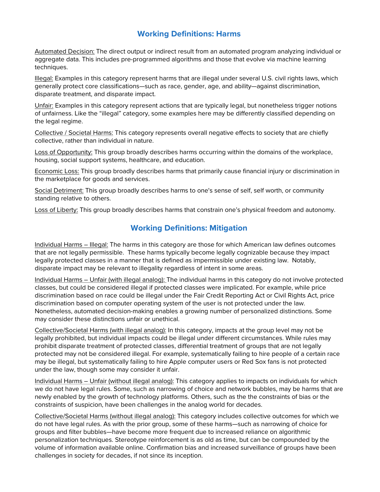### **Working Definitions: Harms**

Automated Decision: The direct output or indirect result from an automated program analyzing individual or aggregate data. This includes pre-programmed algorithms and those that evolve via machine learning techniques.

Illegal: Examples in this category represent harms that are illegal under several U.S. civil rights laws, which generally protect core classifications—such as race, gender, age, and ability—against discrimination, disparate treatment, and disparate impact.

Unfair: Examples in this category represent actions that are typically legal, but nonetheless trigger notions of unfairness. Like the "illegal" category, some examples here may be differently classified depending on the legal regime.

Collective / Societal Harms: This category represents overall negative effects to society that are chiefly collective, rather than individual in nature.

Loss of Opportunity: This group broadly describes harms occurring within the domains of the workplace, housing, social support systems, healthcare, and education.

Economic Loss: This group broadly describes harms that primarily cause financial injury or discrimination in the marketplace for goods and services.

Social Detriment: This group broadly describes harms to one's sense of self, self worth, or community standing relative to others.

Loss of Liberty: This group broadly describes harms that constrain one's physical freedom and autonomy.

### **Working Definitions: Mitigation**

Individual Harms – Illegal: The harms in this category are those for which American law defines outcomes that are not legally permissible. These harms typically become legally cognizable because they impact legally protected classes in a manner that is defined as impermissible under existing law. Notably, disparate impact may be relevant to illegality regardless of intent in some areas.

Individual Harms – Unfair (with illegal analog): The individual harms in this category do not involve protected classes, but could be considered illegal if protected classes were implicated. For example, while price discrimination based on race could be illegal under the Fair Credit Reporting Act or Civil Rights Act, price discrimination based on computer operating system of the user is not protected under the law. Nonetheless, automated decision-making enables a growing number of personalized distinctions. Some may consider these distinctions unfair or unethical.

Collective/Societal Harms (with illegal analog): In this category, impacts at the group level may not be legally prohibited, but individual impacts could be illegal under different circumstances. While rules may prohibit disparate treatment of protected classes, differential treatment of groups that are not legally protected may not be considered illegal. For example, systematically failing to hire people of a certain race may be illegal, but systematically failing to hire Apple computer users or Red Sox fans is not protected under the law, though some may consider it unfair.

Individual Harms – Unfair (without illegal analog): This category applies to impacts on individuals for which we do not have legal rules. Some, such as narrowing of choice and network bubbles, may be harms that are newly enabled by the growth of technology platforms. Others, such as the the constraints of bias or the constraints of suspicion, have been challenges in the analog world for decades.

Collective/Societal Harms (without illegal analog): This category includes collective outcomes for which we do not have legal rules. As with the prior group, some of these harms—such as narrowing of choice for groups and filter bubbles—have become more frequent due to increased reliance on algorithmic personalization techniques. Stereotype reinforcement is as old as time, but can be compounded by the volume of information available online. Confirmation bias and increased surveillance of groups have been challenges in society for decades, if not since its inception.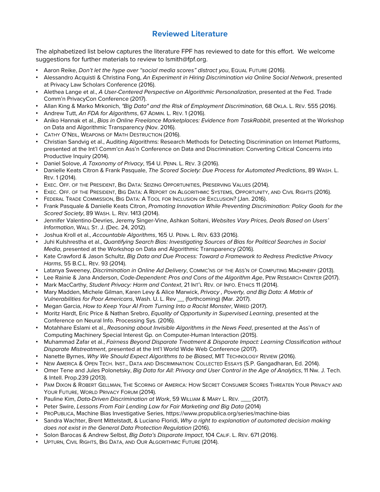### **Reviewed Literature**

The alphabetized list below captures the literature FPF has reviewed to date for this effort. We welcome suggestions for further materials to review to lsmith@fpf.org.

- Aaron Reike, *Don't let the hype over "social media scores" distract you*, Equal Future (2016).
- Alessandro Acquisti & Christina Fong, *An Experiment in Hiring Discrimination via Online Social Network*, presented at Privacy Law Scholars Conference (2016).
- Alethea Lange et al., *A User-Centered Perspective on Algorithmic Personalization*, presented at the Fed. Trade Comm'n PrivacyCon Conference (2017).
- Allan King & Marko Mrkonich, *"Big Data" and the Risk of Employment Discrimination*, 68 OKLA. L. REV. 555 (2016).
- Andrew Tutt, *An FDA for Algorithms*, 67 ADMIN. L. REV. 1 (2016).
- Aniko Hannak et al., *Bias in Online Freelance Marketplaces: Evidence from TaskRabbit*, presented at the Workshop on Data and Algorithmic Transparency (Nov. 2016).
- CATHY O'NEIL, WEAPONS OF MATH DESTRUCTION (2016).
- Christian Sandvig et al., Auditing Algorithms: Research Methods for Detecting Discrimination on Internet Platforms, presented at the Int'l Comm'cn Ass'n Conference on Data and Discrimination: Converting Critical Concerns into Productive Inquiry (2014).
- Daniel Solove, *A Taxonomy of Privacy*, 154 U. PENN. L. REV. 3 (2016).
- Danielle Keats Citron & Frank Pasquale, *The Scored Society: Due Process for Automated Predictions*, 89 WASH. L. REV. 1 (2014).
- EXEC. OFF. OF THE PRESIDENT, BIG DATA: SEIZING OPPORTUNITIES, PRESERVING VALUES (2014).
- EXEC. OFF. OF THE PRESIDENT, BIG DATA: A REPORT ON ALGORITHMIC SYSTEMS, OPPORTUNITY, AND CIVIL RIGHTS (2016).
- FEDERAL TRADE COMMISSION, BIG DATA: A TOOL FOR INCLUSION OR EXCLUSION? (Jan. 2016).
- Frank Pasquale & Danielle Keats Citron, *Promoting Innovation While Preventing Discrimination: Policy Goals for the Scored Society*, 89 WASH. L. REV. 1413 (2014).
- Jennifer Valentino-Devries, Jeremy Singer-Vine, Ashkan Soltani, *Websites Vary Prices, Deals Based on Users' Information*, WALL ST. J. (Dec. 24, 2012).
- Joshua Kroll et al., *Accountable Algorithms*, 165 U. PENN. L. REV. 633 (2016).
- Juhi Kulshrestha et al., *Quantifying Search Bias: Investigating Sources of Bias for Political Searches in Social Media*, presented at the Workshop on Data and Algorithmic Transparency (2016).
- Kate Crawford & Jason Schultz, *Big Data and Due Process: Toward a Framework to Redress Predictive Privacy Harms*, 55 B.C.L. REV. 93 (2014).
- Latanya Sweeney, *Discrimination in Online Ad Delivery*, COMMC'NS OF THE ASS'N OF COMPUTING MACHINERY (2013).
- Lee Rainie & Jana Anderson, *Code-Dependent: Pros and Cons of the Algorithm Age*, PEW RESEARCH CENTER (2017).
- Mark MacCarthy, *Student Privacy: Harm and Context*, 21 INT'L REV. OF INFO. ETHICS 11 (2014).
- Mary Madden, Michele Gilman, Karen Levy & Alice Marwick, *Privacy , Poverty, and Big Data: A Matrix of Vulnerabilities for Poor Americans*, Wash. U. L. Rev \_\_ (forthcoming) (Mar. 2017).
- Megan Garcia, *How to Keep Your AI From Turning Into a Racist Monster*, WIRED (2017).
- Moritz Hardt, Eric Price & Nathan Srebro, *Equality of Opportunity in Supervised Learning*, presented at the Conference on Neural Info. Processing Sys. (2016).
- Motahhare Eslami et al., *Reasoning about Invisible Algorithms in the News Feed*, presented at the Ass'n of Computing Machinery Special Interest Gp. on Computer-Human Interaction (2015).
- Muhammad Zafar et al., *Fairness Beyond Disparate Treatment & Disparate Impact: Learning Classification without Disparate Mistreatment*, presented at the Int'l World Wide Web Conference (2017).
- Nanette Byrnes, *Why We Should Expect Algorithms to be Biased*, MIT TECHNOLOGY REVIEW (2016).
- NEW AMERICA & OPEN TECH. INST., DATA AND DISCRIMINATION: COLLECTED ESSAYS (S.P. Gangadharan, Ed. 2014).
- Omer Tene and Jules Polonetsky, *Big Data for All: Privacy and User Control in the Age of Analytics*, 11 Nw. J. Tech. & Intell. Prop.239 (2013).
- PAM DIXON & ROBERT GELLMAN, THE SCORING OF AMERICA: HOW SECRET CONSUMER SCORES THREATEN YOUR PRIVACY AND YOUR FUTURE, WORLD PRIVACY FORUM (2014).
- Pauline Kim, *Data-Driven Discrimination at Work*, 59 WILLIAM & MARY L. REV. \_\_\_ (2017).
- Peter Swire, *Lessons From Fair Lending Law for Fair Marketing and Big Data* (2014)
- PROPUBLICA, Machine Bias Investigative Series, https://www.propublica.org/series/machine-bias
- Sandra Wachter, Brent Mittelstadt, & Luciano Floridi, *Why a right to explanation of automated decision making does not exist in the General Data Protection Regulation* (2016).
- Solon Barocas & Andrew Selbst, *Big Data's Disparate Impact*, 104 CALIF. L. REV. 671 (2016).
- UPTURN, CIVIL RIGHTS, BIG DATA, AND OUR ALGORITHMIC FUTURE (2014).